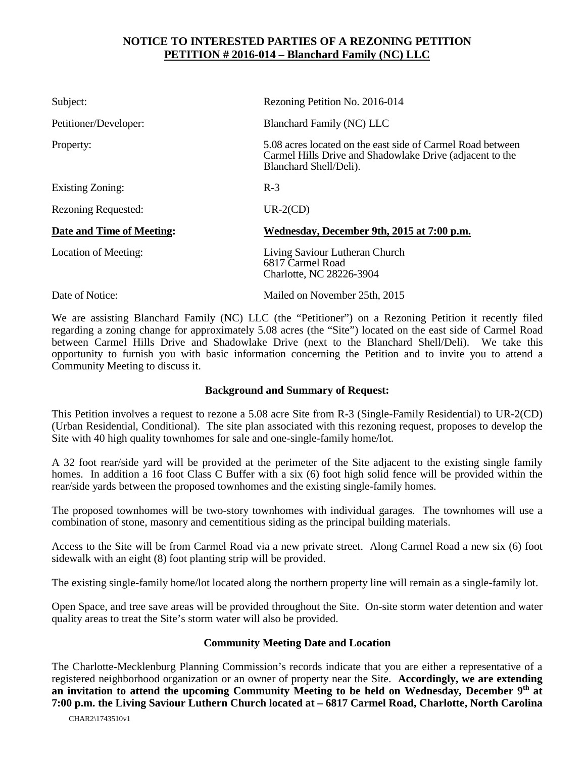## **NOTICE TO INTERESTED PARTIES OF A REZONING PETITION PETITION # 2016-014 – Blanchard Family (NC) LLC**

| Subject:                   | Rezoning Petition No. 2016-014                                                                                                                   |
|----------------------------|--------------------------------------------------------------------------------------------------------------------------------------------------|
| Petitioner/Developer:      | <b>Blanchard Family (NC) LLC</b>                                                                                                                 |
| Property:                  | 5.08 acres located on the east side of Carmel Road between<br>Carmel Hills Drive and Shadowlake Drive (adjacent to the<br>Blanchard Shell/Deli). |
| Existing Zoning:           | $R-3$                                                                                                                                            |
| <b>Rezoning Requested:</b> | $UR-2(CD)$                                                                                                                                       |
| Date and Time of Meeting:  | Wednesday, December 9th, 2015 at 7:00 p.m.                                                                                                       |
| Location of Meeting:       | Living Saviour Lutheran Church<br>6817 Carmel Road<br>Charlotte, NC 28226-3904                                                                   |
| Date of Notice:            | Mailed on November 25th, 2015                                                                                                                    |

We are assisting Blanchard Family (NC) LLC (the "Petitioner") on a Rezoning Petition it recently filed regarding a zoning change for approximately 5.08 acres (the "Site") located on the east side of Carmel Road between Carmel Hills Drive and Shadowlake Drive (next to the Blanchard Shell/Deli). We take this opportunity to furnish you with basic information concerning the Petition and to invite you to attend a Community Meeting to discuss it.

## **Background and Summary of Request:**

This Petition involves a request to rezone a 5.08 acre Site from R-3 (Single-Family Residential) to UR-2(CD) (Urban Residential, Conditional). The site plan associated with this rezoning request, proposes to develop the Site with 40 high quality townhomes for sale and one-single-family home/lot.

A 32 foot rear/side yard will be provided at the perimeter of the Site adjacent to the existing single family homes. In addition a 16 foot Class C Buffer with a six (6) foot high solid fence will be provided within the rear/side yards between the proposed townhomes and the existing single-family homes.

The proposed townhomes will be two-story townhomes with individual garages. The townhomes will use a combination of stone, masonry and cementitious siding as the principal building materials.

Access to the Site will be from Carmel Road via a new private street. Along Carmel Road a new six (6) foot sidewalk with an eight (8) foot planting strip will be provided.

The existing single-family home/lot located along the northern property line will remain as a single-family lot.

Open Space, and tree save areas will be provided throughout the Site. On-site storm water detention and water quality areas to treat the Site's storm water will also be provided.

## **Community Meeting Date and Location**

The Charlotte-Mecklenburg Planning Commission's records indicate that you are either a representative of a registered neighborhood organization or an owner of property near the Site. **Accordingly, we are extending an invitation to attend the upcoming Community Meeting to be held on Wednesday, December 9th at 7:00 p.m. the Living Saviour Luthern Church located at – 6817 Carmel Road, Charlotte, North Carolina**